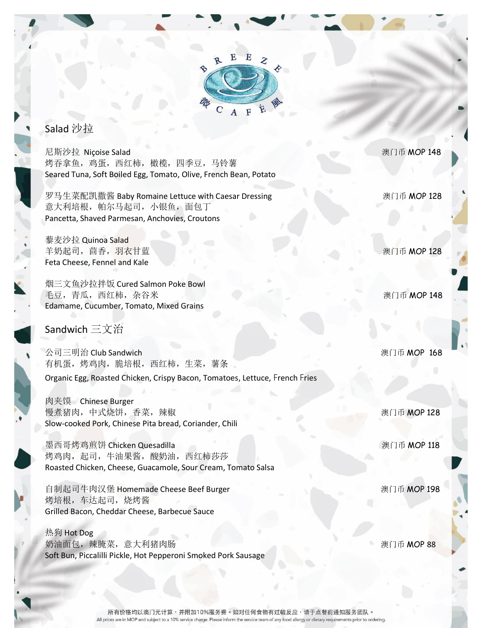

## Salad 沙拉

尼斯沙拉 Niçoise Salad インファイル アイディング・シーク しょうしゃ アイディング しゅうしょう いちょうしょう しょうしょう いちょうしょう 烤吞拿鱼,鸡蛋,西红柿,橄榄,四季豆,马铃薯 Seared Tuna, Soft Boiled Egg, Tomato, Olive, French Bean, Potato

罗马生菜配凯撒酱 Baby Romaine Lettuce with Caesar Dressing **Example 20 Burner** 澳门币 MOP 128 意大利培根, 帕尔马起司, 小银鱼, 面包丁 Pancetta, Shaved Parmesan, Anchovies, Croutons

藜麦沙拉 Quinoa Salad 羊奶起司,茴香,羽衣甘蓝 澳门币 MOP 128 Feta Cheese, Fennel and Kale

烟三文鱼沙拉拌饭 Cured Salmon Poke Bowl 毛豆,青瓜,西红柿,杂谷米 2000 - 2000 - 2000 - 2000 - 2000 - 2000 - 2000 - 2000 - 2000 - 2000 - 2000 - 2000 - 2000 - 2000 Edamame, Cucumber, Tomato, Mixed Grains

## Sandwich 三文治

公司三明治 Club Sandwich 澳门币 MOP 168 有机蛋,烤鸡肉,脆培根,西红柿,生菜,薯条 Organic Egg, Roasted Chicken, Crispy Bacon, Tomatoes, Lettuce, French Fries

肉夹馍 Chinese Burger 慢煮猪肉,中式烧饼,香菜,辣椒 澳门币 MOP 128 Slow-cooked Pork, Chinese Pita bread, Coriander, Chili

墨西哥烤鸡煎饼 Chicken Quesadilla インファイル アンチャン あいしゃ うちゃく うちゃく いちゅうしょう うちゃく しょうしょう いんじょう しょうしょう 烤鸡肉,起司,牛油果酱,酸奶油,西红柿莎莎 Roasted Chicken, Cheese, Guacamole, Sour Cream, Tomato Salsa

自制起司牛肉汉堡 Homemade Cheese Beef Burger **No. 2008 Section Accord 2009 2009 2009** 烤培根,车达起司,烧烤酱 Grilled Bacon, Cheddar Cheese, Barbecue Sauce

热狗 Hot Dog 奶油面包,辣腌菜,意大利猪肉肠 澳门币 MOP 88 Soft Bun, Piccalilli Pickle, Hot Pepperoni Smoked Pork Sausage

所有价格均以澳门元计算,并附加10%服务费。如对任何食物有过敏反应,请于点餐前通知服务团队。 All prices are in MOP and subject to a 10% service charge. Please inform the service team of any food allergy or dietary requirements prior to ordering.